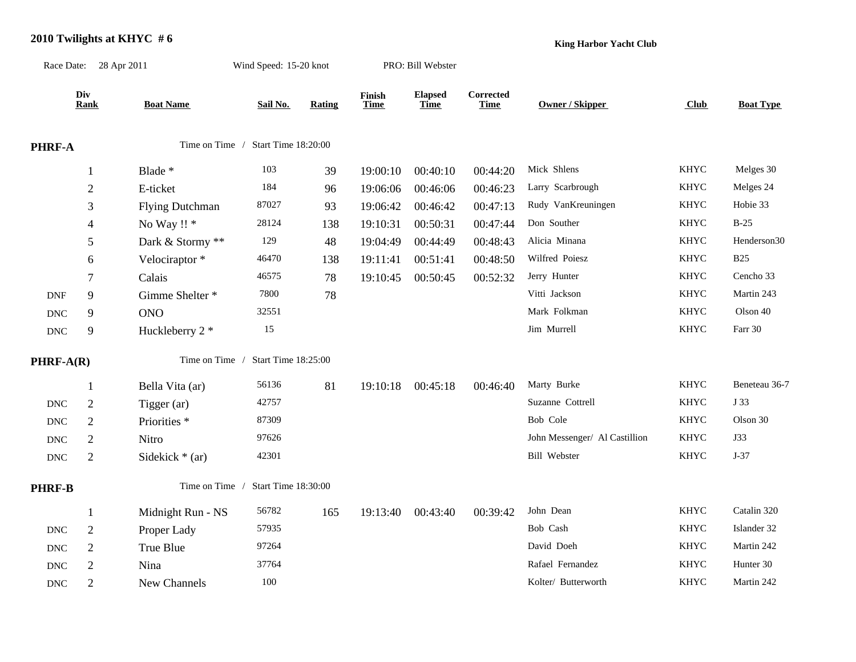## **2010 Twilights at KHYC # 6**

Race Date: 28 Apr 2011 Wind Speed: 15-20 knot PRO: Bill Webster

**King Harbor Yacht Club**

|                      | Div<br><b>Rank</b>       | <b>Boat Name</b>                      | Sail No.            | Rating | Finish<br><b>Time</b> | <b>Elapsed</b><br><b>Time</b> | Corrected<br><b>Time</b> | Owner / Skipper               | Club        | <b>Boat Type</b> |
|----------------------|--------------------------|---------------------------------------|---------------------|--------|-----------------------|-------------------------------|--------------------------|-------------------------------|-------------|------------------|
|                      |                          |                                       |                     |        |                       |                               |                          |                               |             |                  |
| PHRF-A               |                          | Time on Time / Start Time 18:20:00    |                     |        |                       |                               |                          |                               |             |                  |
|                      | $\mathbf{1}$             | Blade *                               | 103                 | 39     | 19:00:10              | 00:40:10                      | 00:44:20                 | Mick Shlens                   | <b>KHYC</b> | Melges 30        |
|                      | $\overline{2}$           | E-ticket                              | 184                 | 96     | 19:06:06              | 00:46:06                      | 00:46:23                 | Larry Scarbrough              | <b>KHYC</b> | Melges 24        |
|                      | 3                        | <b>Flying Dutchman</b>                | 87027               | 93     | 19:06:42              | 00:46:42                      | 00:47:13                 | Rudy VanKreuningen            | <b>KHYC</b> | Hobie 33         |
|                      | $\overline{\mathcal{A}}$ | No Way !! *                           | 28124               | 138    | 19:10:31              | 00:50:31                      | 00:47:44                 | Don Souther                   | <b>KHYC</b> | $B-25$           |
|                      | 5                        | Dark & Stormy **                      | 129                 | 48     | 19:04:49              | 00:44:49                      | 00:48:43                 | Alicia Minana                 | <b>KHYC</b> | Henderson30      |
|                      | 6                        | Velociraptor*                         | 46470               | 138    | 19:11:41              | 00:51:41                      | 00:48:50                 | Wilfred Poiesz                | <b>KHYC</b> | <b>B25</b>       |
|                      | 7                        | Calais                                | 46575               | 78     | 19:10:45              | 00:50:45                      | 00:52:32                 | Jerry Hunter                  | <b>KHYC</b> | Cencho 33        |
| <b>DNF</b>           | 9                        | Gimme Shelter *                       | 7800                | 78     |                       |                               |                          | Vitti Jackson                 | <b>KHYC</b> | Martin 243       |
| <b>DNC</b>           | 9                        | <b>ONO</b>                            | 32551               |        |                       |                               |                          | Mark Folkman                  | <b>KHYC</b> | Olson 40         |
| <b>DNC</b>           | 9                        | Huckleberry 2 *                       | 15                  |        |                       |                               |                          | Jim Murrell                   | <b>KHYC</b> | Farr 30          |
| $PHRF-A(R)$          |                          | Time on Time /<br>Start Time 18:25:00 |                     |        |                       |                               |                          |                               |             |                  |
|                      | 1                        | Bella Vita (ar)                       | 56136               | 81     | 19:10:18              | 00:45:18                      | 00:46:40                 | Marty Burke                   | <b>KHYC</b> | Beneteau 36-7    |
| <b>DNC</b>           | $\overline{2}$           | Tigger (ar)                           | 42757               |        |                       |                               |                          | Suzanne Cottrell              | <b>KHYC</b> | J 33             |
| <b>DNC</b>           | $\overline{2}$           | Priorities <sup>*</sup>               | 87309               |        |                       |                               |                          | Bob Cole                      | <b>KHYC</b> | Olson 30         |
| <b>DNC</b>           | $\boldsymbol{2}$         | Nitro                                 | 97626               |        |                       |                               |                          | John Messenger/ Al Castillion | <b>KHYC</b> | J33              |
| $\operatorname{DNC}$ | $\boldsymbol{2}$         | Sidekick $*(ar)$                      | 42301               |        |                       |                               |                          | <b>Bill Webster</b>           | <b>KHYC</b> | $J-37$           |
| PHRF-B               |                          | Time on Time /                        | Start Time 18:30:00 |        |                       |                               |                          |                               |             |                  |
|                      | $\mathbf{1}$             | Midnight Run - NS                     | 56782               | 165    | 19:13:40              | 00:43:40                      | 00:39:42                 | John Dean                     | <b>KHYC</b> | Catalin 320      |
| <b>DNC</b>           | $\sqrt{2}$               | Proper Lady                           | 57935               |        |                       |                               |                          | Bob Cash                      | <b>KHYC</b> | Islander 32      |
| <b>DNC</b>           | $\overline{2}$           | True Blue                             | 97264               |        |                       |                               |                          | David Doeh                    | <b>KHYC</b> | Martin 242       |
| <b>DNC</b>           | $\overline{2}$           | Nina                                  | 37764               |        |                       |                               |                          | Rafael Fernandez              | <b>KHYC</b> | Hunter 30        |
| <b>DNC</b>           | $\overline{2}$           | New Channels                          | 100                 |        |                       |                               |                          | Kolter/ Butterworth           | <b>KHYC</b> | Martin 242       |